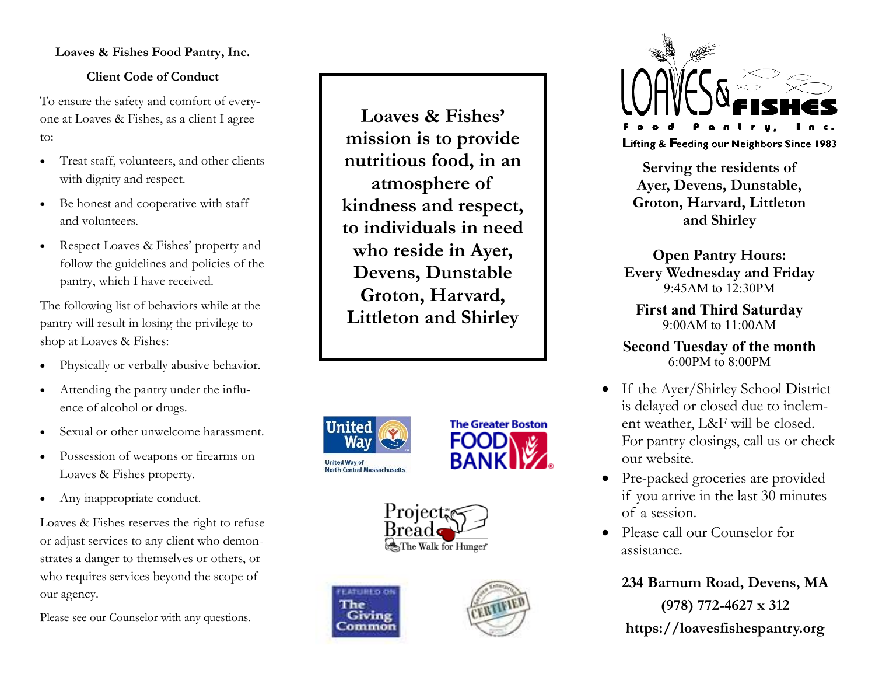### **Loaves & Fishes Food Pantry, Inc.**

### **Client Code of Conduct**

To ensure the safety and comfort of everyone at Loaves & Fishes, as a client I agree to:

- Treat staff, volunteers, and other clients with dignity and respect.
- Be honest and cooperative with staff and volunteers.
- Respect Loaves & Fishes' property and follow the guidelines and policies of the pantry, which I have received.

The following list of behaviors while at the pantry will result in losing the privilege to shop at Loaves & Fishes:

- Physically or verbally abusive behavior.
- Attending the pantry under the influence of alcohol or drugs.
- Sexual or other unwelcome harassment.
- Possession of weapons or firearms on Loaves & Fishes property.
- Any inappropriate conduct.

Loaves & Fishes reserves the right to refuse or adjust services to any client who demonstrates a danger to themselves or others, or who requires services beyond the scope of our agency.

Please see our Counselor with any questions.

**Loaves & Fishes' mission is to provide nutritious food, in an atmosphere of kindness and respect, to individuals in need who reside in Ayer, Devens, Dunstable Groton, Harvard, Littleton and Shirley** 



The









**Serving the residents of Ayer, Devens, Dunstable, Groton, Harvard, Littleton and Shirley** 

**Open Pantry Hours: Every Wednesday and Friday**  9:45AM to 12:30PM

**First and Third Saturday**  9:00AM to 11:00AM

**Second Tuesday of the month**  6:00PM to 8:00PM

- If the Ayer/Shirley School District is delayed or closed due to inclement weather, L&F will be closed. For pantry closings, call us or check our website.
- Pre-packed groceries are provided if you arrive in the last 30 minutes of a session.
- Please call our Counselor for assistance.

**234 Barnum Road, Devens, MA (978) 772-4627 x 312 https://loavesfishespantry.org**